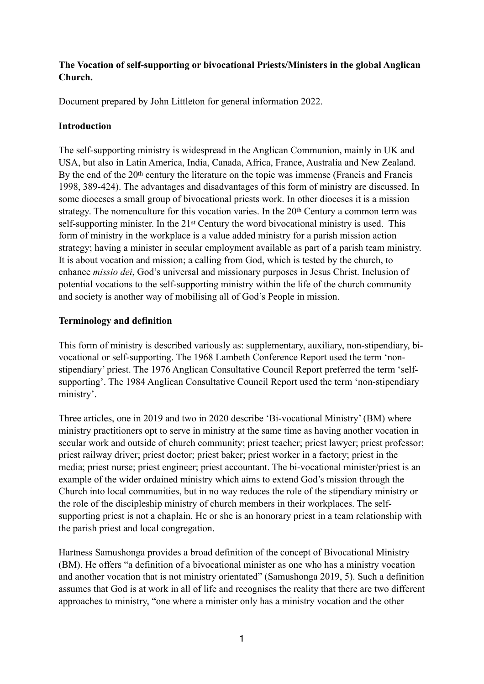# **The Vocation of self-supporting or bivocational Priests/Ministers in the global Anglican Church.**

Document prepared by John Littleton for general information 2022.

## **Introduction**

The self-supporting ministry is widespread in the Anglican Communion, mainly in UK and USA, but also in Latin America, India, Canada, Africa, France, Australia and New Zealand. By the end of the 20<sup>th</sup> century the literature on the topic was immense (Francis and Francis 1998, 389-424). The advantages and disadvantages of this form of ministry are discussed. In some dioceses a small group of bivocational priests work. In other dioceses it is a mission strategy. The nomenculture for this vocation varies. In the 20th Century a common term was self-supporting minister. In the 21st Century the word bivocational ministry is used. This form of ministry in the workplace is a value added ministry for a parish mission action strategy; having a minister in secular employment available as part of a parish team ministry. It is about vocation and mission; a calling from God, which is tested by the church, to enhance *missio dei*, God's universal and missionary purposes in Jesus Christ. Inclusion of potential vocations to the self-supporting ministry within the life of the church community and society is another way of mobilising all of God's People in mission.

## **Terminology and definition**

This form of ministry is described variously as: supplementary, auxiliary, non-stipendiary, bivocational or self-supporting. The 1968 Lambeth Conference Report used the term 'nonstipendiary' priest. The 1976 Anglican Consultative Council Report preferred the term 'selfsupporting'. The 1984 Anglican Consultative Council Report used the term 'non-stipendiary ministry'.

Three articles, one in 2019 and two in 2020 describe 'Bi-vocational Ministry' (BM) where ministry practitioners opt to serve in ministry at the same time as having another vocation in secular work and outside of church community; priest teacher; priest lawyer; priest professor; priest railway driver; priest doctor; priest baker; priest worker in a factory; priest in the media; priest nurse; priest engineer; priest accountant. The bi-vocational minister/priest is an example of the wider ordained ministry which aims to extend God's mission through the Church into local communities, but in no way reduces the role of the stipendiary ministry or the role of the discipleship ministry of church members in their workplaces. The selfsupporting priest is not a chaplain. He or she is an honorary priest in a team relationship with the parish priest and local congregation.

Hartness Samushonga provides a broad definition of the concept of Bivocational Ministry (BM). He offers "a definition of a bivocational minister as one who has a ministry vocation and another vocation that is not ministry orientated" (Samushonga 2019, 5). Such a definition assumes that God is at work in all of life and recognises the reality that there are two different approaches to ministry, "one where a minister only has a ministry vocation and the other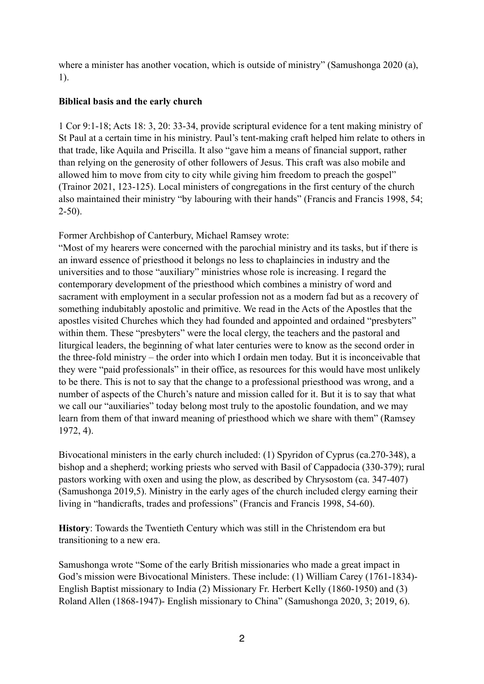where a minister has another vocation, which is outside of ministry" (Samushonga 2020 (a), 1).

## **Biblical basis and the early church**

1 Cor 9:1-18; Acts 18: 3, 20: 33-34, provide scriptural evidence for a tent making ministry of St Paul at a certain time in his ministry. Paul's tent-making craft helped him relate to others in that trade, like Aquila and Priscilla. It also "gave him a means of financial support, rather than relying on the generosity of other followers of Jesus. This craft was also mobile and allowed him to move from city to city while giving him freedom to preach the gospel" (Trainor 2021, 123-125). Local ministers of congregations in the first century of the church also maintained their ministry "by labouring with their hands" (Francis and Francis 1998, 54;  $2-50$ ).

Former Archbishop of Canterbury, Michael Ramsey wrote:

"Most of my hearers were concerned with the parochial ministry and its tasks, but if there is an inward essence of priesthood it belongs no less to chaplaincies in industry and the universities and to those "auxiliary" ministries whose role is increasing. I regard the contemporary development of the priesthood which combines a ministry of word and sacrament with employment in a secular profession not as a modern fad but as a recovery of something indubitably apostolic and primitive. We read in the Acts of the Apostles that the apostles visited Churches which they had founded and appointed and ordained "presbyters" within them. These "presbyters" were the local clergy, the teachers and the pastoral and liturgical leaders, the beginning of what later centuries were to know as the second order in the three-fold ministry – the order into which I ordain men today. But it is inconceivable that they were "paid professionals" in their office, as resources for this would have most unlikely to be there. This is not to say that the change to a professional priesthood was wrong, and a number of aspects of the Church's nature and mission called for it. But it is to say that what we call our "auxiliaries" today belong most truly to the apostolic foundation, and we may learn from them of that inward meaning of priesthood which we share with them" (Ramsey 1972, 4).

Bivocational ministers in the early church included: (1) Spyridon of Cyprus (ca.270-348), a bishop and a shepherd; working priests who served with Basil of Cappadocia (330-379); rural pastors working with oxen and using the plow, as described by Chrysostom (ca. 347-407) (Samushonga 2019,5). Ministry in the early ages of the church included clergy earning their living in "handicrafts, trades and professions" (Francis and Francis 1998, 54-60).

**History**: Towards the Twentieth Century which was still in the Christendom era but transitioning to a new era.

Samushonga wrote "Some of the early British missionaries who made a great impact in God's mission were Bivocational Ministers. These include: (1) William Carey (1761-1834)- English Baptist missionary to India (2) Missionary Fr. Herbert Kelly (1860-1950) and (3) Roland Allen (1868-1947)- English missionary to China" (Samushonga 2020, 3; 2019, 6).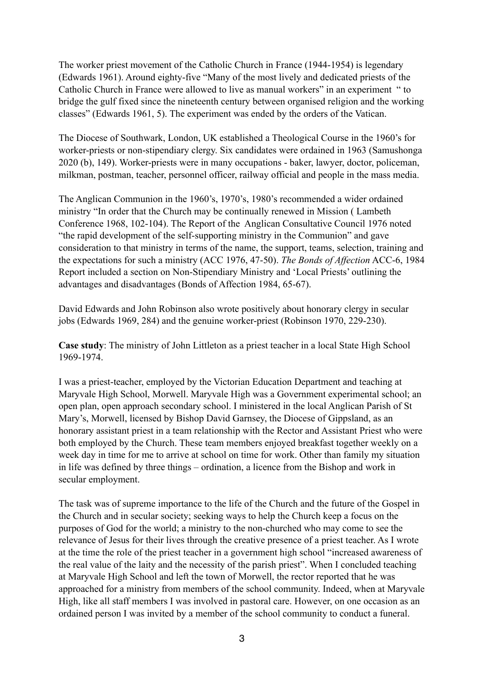The worker priest movement of the Catholic Church in France (1944-1954) is legendary (Edwards 1961). Around eighty-five "Many of the most lively and dedicated priests of the Catholic Church in France were allowed to live as manual workers" in an experiment " to bridge the gulf fixed since the nineteenth century between organised religion and the working classes" (Edwards 1961, 5). The experiment was ended by the orders of the Vatican.

The Diocese of Southwark, London, UK established a Theological Course in the 1960's for worker-priests or non-stipendiary clergy. Six candidates were ordained in 1963 (Samushonga 2020 (b), 149). Worker-priests were in many occupations - baker, lawyer, doctor, policeman, milkman, postman, teacher, personnel officer, railway official and people in the mass media.

The Anglican Communion in the 1960's, 1970's, 1980's recommended a wider ordained ministry "In order that the Church may be continually renewed in Mission ( Lambeth Conference 1968, 102-104). The Report of the Anglican Consultative Council 1976 noted "the rapid development of the self-supporting ministry in the Communion" and gave consideration to that ministry in terms of the name, the support, teams, selection, training and the expectations for such a ministry (ACC 1976, 47-50). *The Bonds of Affection* ACC-6, 1984 Report included a section on Non-Stipendiary Ministry and 'Local Priests' outlining the advantages and disadvantages (Bonds of Affection 1984, 65-67).

David Edwards and John Robinson also wrote positively about honorary clergy in secular jobs (Edwards 1969, 284) and the genuine worker-priest (Robinson 1970, 229-230).

**Case study**: The ministry of John Littleton as a priest teacher in a local State High School 1969-1974.

I was a priest-teacher, employed by the Victorian Education Department and teaching at Maryvale High School, Morwell. Maryvale High was a Government experimental school; an open plan, open approach secondary school. I ministered in the local Anglican Parish of St Mary's, Morwell, licensed by Bishop David Garnsey, the Diocese of Gippsland, as an honorary assistant priest in a team relationship with the Rector and Assistant Priest who were both employed by the Church. These team members enjoyed breakfast together weekly on a week day in time for me to arrive at school on time for work. Other than family my situation in life was defined by three things – ordination, a licence from the Bishop and work in secular employment.

The task was of supreme importance to the life of the Church and the future of the Gospel in the Church and in secular society; seeking ways to help the Church keep a focus on the purposes of God for the world; a ministry to the non-churched who may come to see the relevance of Jesus for their lives through the creative presence of a priest teacher. As I wrote at the time the role of the priest teacher in a government high school "increased awareness of the real value of the laity and the necessity of the parish priest". When I concluded teaching at Maryvale High School and left the town of Morwell, the rector reported that he was approached for a ministry from members of the school community. Indeed, when at Maryvale High, like all staff members I was involved in pastoral care. However, on one occasion as an ordained person I was invited by a member of the school community to conduct a funeral.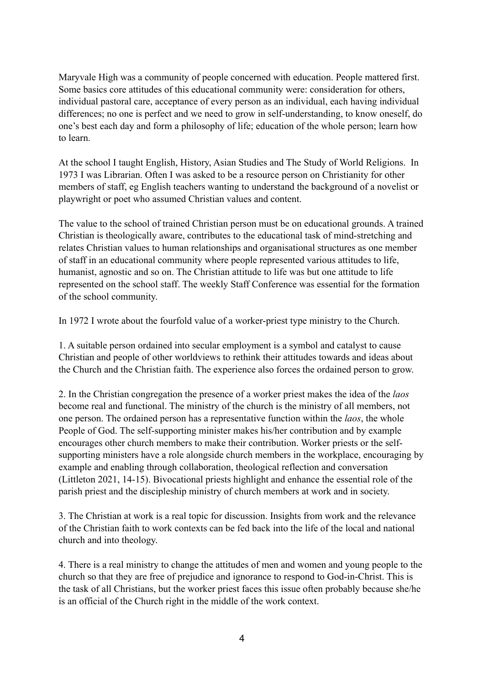Maryvale High was a community of people concerned with education. People mattered first. Some basics core attitudes of this educational community were: consideration for others, individual pastoral care, acceptance of every person as an individual, each having individual differences; no one is perfect and we need to grow in self-understanding, to know oneself, do one's best each day and form a philosophy of life; education of the whole person; learn how to learn.

At the school I taught English, History, Asian Studies and The Study of World Religions. In 1973 I was Librarian. Often I was asked to be a resource person on Christianity for other members of staff, eg English teachers wanting to understand the background of a novelist or playwright or poet who assumed Christian values and content.

The value to the school of trained Christian person must be on educational grounds. A trained Christian is theologically aware, contributes to the educational task of mind-stretching and relates Christian values to human relationships and organisational structures as one member of staff in an educational community where people represented various attitudes to life, humanist, agnostic and so on. The Christian attitude to life was but one attitude to life represented on the school staff. The weekly Staff Conference was essential for the formation of the school community.

In 1972 I wrote about the fourfold value of a worker-priest type ministry to the Church.

1. A suitable person ordained into secular employment is a symbol and catalyst to cause Christian and people of other worldviews to rethink their attitudes towards and ideas about the Church and the Christian faith. The experience also forces the ordained person to grow.

2. In the Christian congregation the presence of a worker priest makes the idea of the *laos* become real and functional. The ministry of the church is the ministry of all members, not one person. The ordained person has a representative function within the *laos*, the whole People of God. The self-supporting minister makes his/her contribution and by example encourages other church members to make their contribution. Worker priests or the selfsupporting ministers have a role alongside church members in the workplace, encouraging by example and enabling through collaboration, theological reflection and conversation (Littleton 2021, 14-15). Bivocational priests highlight and enhance the essential role of the parish priest and the discipleship ministry of church members at work and in society.

3. The Christian at work is a real topic for discussion. Insights from work and the relevance of the Christian faith to work contexts can be fed back into the life of the local and national church and into theology.

4. There is a real ministry to change the attitudes of men and women and young people to the church so that they are free of prejudice and ignorance to respond to God-in-Christ. This is the task of all Christians, but the worker priest faces this issue often probably because she/he is an official of the Church right in the middle of the work context.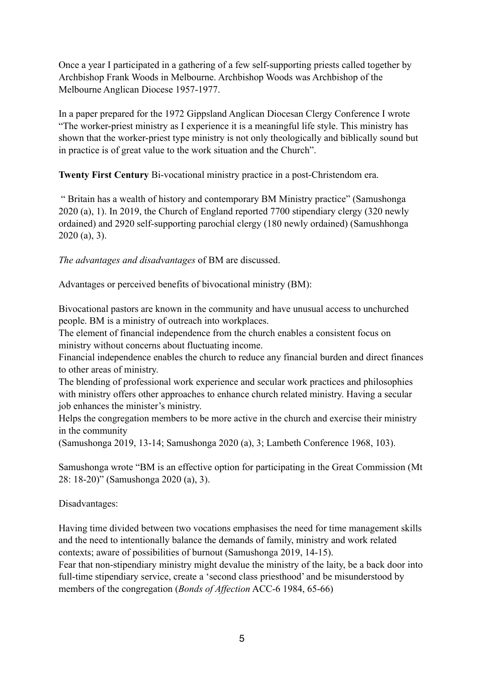Once a year I participated in a gathering of a few self-supporting priests called together by Archbishop Frank Woods in Melbourne. Archbishop Woods was Archbishop of the Melbourne Anglican Diocese 1957-1977.

In a paper prepared for the 1972 Gippsland Anglican Diocesan Clergy Conference I wrote "The worker-priest ministry as I experience it is a meaningful life style. This ministry has shown that the worker-priest type ministry is not only theologically and biblically sound but in practice is of great value to the work situation and the Church".

**Twenty First Century** Bi-vocational ministry practice in a post-Christendom era.

 " Britain has a wealth of history and contemporary BM Ministry practice" (Samushonga 2020 (a), 1). In 2019, the Church of England reported 7700 stipendiary clergy (320 newly ordained) and 2920 self-supporting parochial clergy (180 newly ordained) (Samushhonga 2020 (a), 3).

*The advantages and disadvantages* of BM are discussed.

Advantages or perceived benefits of bivocational ministry (BM):

Bivocational pastors are known in the community and have unusual access to unchurched people. BM is a ministry of outreach into workplaces.

The element of financial independence from the church enables a consistent focus on ministry without concerns about fluctuating income.

Financial independence enables the church to reduce any financial burden and direct finances to other areas of ministry.

The blending of professional work experience and secular work practices and philosophies with ministry offers other approaches to enhance church related ministry. Having a secular job enhances the minister's ministry.

Helps the congregation members to be more active in the church and exercise their ministry in the community

(Samushonga 2019, 13-14; Samushonga 2020 (a), 3; Lambeth Conference 1968, 103).

Samushonga wrote "BM is an effective option for participating in the Great Commission (Mt 28: 18-20)" (Samushonga 2020 (a), 3).

Disadvantages:

Having time divided between two vocations emphasises the need for time management skills and the need to intentionally balance the demands of family, ministry and work related contexts; aware of possibilities of burnout (Samushonga 2019, 14-15).

Fear that non-stipendiary ministry might devalue the ministry of the laity, be a back door into full-time stipendiary service, create a 'second class priesthood' and be misunderstood by members of the congregation (*Bonds of Affection* ACC-6 1984, 65-66)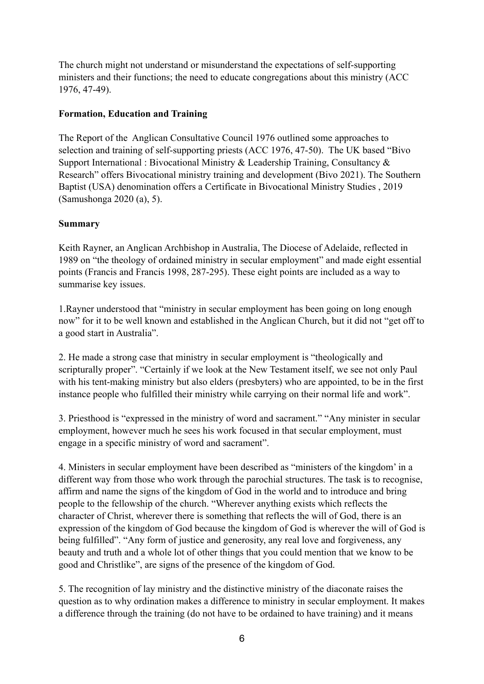The church might not understand or misunderstand the expectations of self-supporting ministers and their functions; the need to educate congregations about this ministry (ACC 1976, 47-49).

## **Formation, Education and Training**

The Report of the Anglican Consultative Council 1976 outlined some approaches to selection and training of self-supporting priests (ACC 1976, 47-50). The UK based "Bivo Support International : Bivocational Ministry & Leadership Training, Consultancy & Research" offers Bivocational ministry training and development (Bivo 2021). The Southern Baptist (USA) denomination offers a Certificate in Bivocational Ministry Studies , 2019 (Samushonga 2020 (a), 5).

#### **Summary**

Keith Rayner, an Anglican Archbishop in Australia, The Diocese of Adelaide, reflected in 1989 on "the theology of ordained ministry in secular employment" and made eight essential points (Francis and Francis 1998, 287-295). These eight points are included as a way to summarise key issues.

1.Rayner understood that "ministry in secular employment has been going on long enough now" for it to be well known and established in the Anglican Church, but it did not "get off to a good start in Australia".

2. He made a strong case that ministry in secular employment is "theologically and scripturally proper". "Certainly if we look at the New Testament itself, we see not only Paul with his tent-making ministry but also elders (presbyters) who are appointed, to be in the first instance people who fulfilled their ministry while carrying on their normal life and work".

3. Priesthood is "expressed in the ministry of word and sacrament." "Any minister in secular employment, however much he sees his work focused in that secular employment, must engage in a specific ministry of word and sacrament".

4. Ministers in secular employment have been described as "ministers of the kingdom' in a different way from those who work through the parochial structures. The task is to recognise, affirm and name the signs of the kingdom of God in the world and to introduce and bring people to the fellowship of the church. "Wherever anything exists which reflects the character of Christ, wherever there is something that reflects the will of God, there is an expression of the kingdom of God because the kingdom of God is wherever the will of God is being fulfilled". "Any form of justice and generosity, any real love and forgiveness, any beauty and truth and a whole lot of other things that you could mention that we know to be good and Christlike", are signs of the presence of the kingdom of God.

5. The recognition of lay ministry and the distinctive ministry of the diaconate raises the question as to why ordination makes a difference to ministry in secular employment. It makes a difference through the training (do not have to be ordained to have training) and it means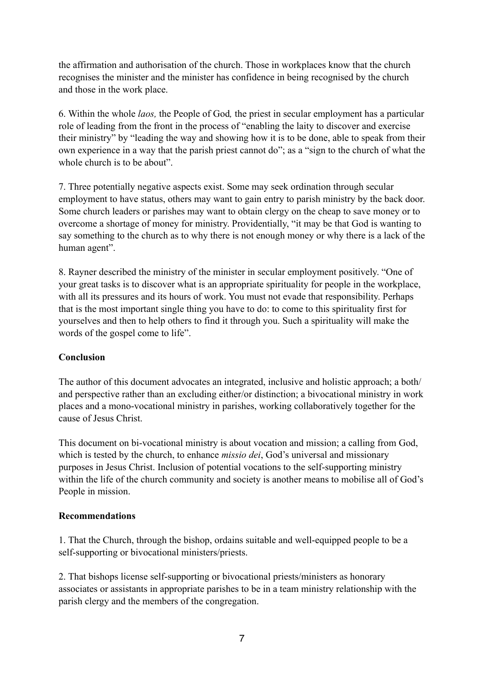the affirmation and authorisation of the church. Those in workplaces know that the church recognises the minister and the minister has confidence in being recognised by the church and those in the work place.

6. Within the whole *laos,* the People of God*,* the priest in secular employment has a particular role of leading from the front in the process of "enabling the laity to discover and exercise their ministry" by "leading the way and showing how it is to be done, able to speak from their own experience in a way that the parish priest cannot do"; as a "sign to the church of what the whole church is to be about".

7. Three potentially negative aspects exist. Some may seek ordination through secular employment to have status, others may want to gain entry to parish ministry by the back door. Some church leaders or parishes may want to obtain clergy on the cheap to save money or to overcome a shortage of money for ministry. Providentially, "it may be that God is wanting to say something to the church as to why there is not enough money or why there is a lack of the human agent".

8. Rayner described the ministry of the minister in secular employment positively. "One of your great tasks is to discover what is an appropriate spirituality for people in the workplace, with all its pressures and its hours of work. You must not evade that responsibility. Perhaps that is the most important single thing you have to do: to come to this spirituality first for yourselves and then to help others to find it through you. Such a spirituality will make the words of the gospel come to life".

## **Conclusion**

The author of this document advocates an integrated, inclusive and holistic approach; a both/ and perspective rather than an excluding either/or distinction; a bivocational ministry in work places and a mono-vocational ministry in parishes, working collaboratively together for the cause of Jesus Christ.

This document on bi-vocational ministry is about vocation and mission; a calling from God, which is tested by the church, to enhance *missio dei*, God's universal and missionary purposes in Jesus Christ. Inclusion of potential vocations to the self-supporting ministry within the life of the church community and society is another means to mobilise all of God's People in mission.

## **Recommendations**

1. That the Church, through the bishop, ordains suitable and well-equipped people to be a self-supporting or bivocational ministers/priests.

2. That bishops license self-supporting or bivocational priests/ministers as honorary associates or assistants in appropriate parishes to be in a team ministry relationship with the parish clergy and the members of the congregation.